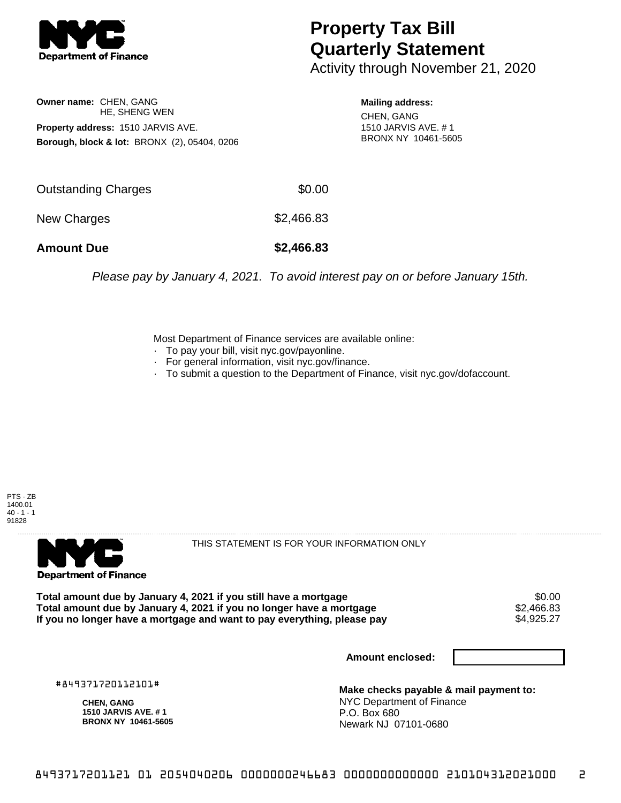

## **Property Tax Bill Quarterly Statement**

Activity through November 21, 2020

**Owner name:** CHEN, GANG HE, SHENG WEN **Property address:** 1510 JARVIS AVE. **Borough, block & lot:** BRONX (2), 05404, 0206 **Mailing address:**

CHEN, GANG 1510 JARVIS AVE. # 1 BRONX NY 10461-5605

| <b>Amount Due</b>   | \$2,466.83 |
|---------------------|------------|
| New Charges         | \$2,466.83 |
| Outstanding Charges | \$0.00     |

Please pay by January 4, 2021. To avoid interest pay on or before January 15th.

Most Department of Finance services are available online:

- · To pay your bill, visit nyc.gov/payonline.
- For general information, visit nyc.gov/finance.
- · To submit a question to the Department of Finance, visit nyc.gov/dofaccount.

PTS - ZB 1400.01  $40 - 1 - 1$ 91828



THIS STATEMENT IS FOR YOUR INFORMATION ONLY

Total amount due by January 4, 2021 if you still have a mortgage \$0.00<br>Total amount due by January 4, 2021 if you no longer have a mortgage \$2.466.83 **Total amount due by January 4, 2021 if you no longer have a mortgage**  $$2,466.83$ **<br>If you no longer have a mortgage and want to pay everything, please pay** If you no longer have a mortgage and want to pay everything, please pay

**Amount enclosed:**

#849371720112101#

**CHEN, GANG 1510 JARVIS AVE. # 1 BRONX NY 10461-5605**

**Make checks payable & mail payment to:** NYC Department of Finance P.O. Box 680 Newark NJ 07101-0680